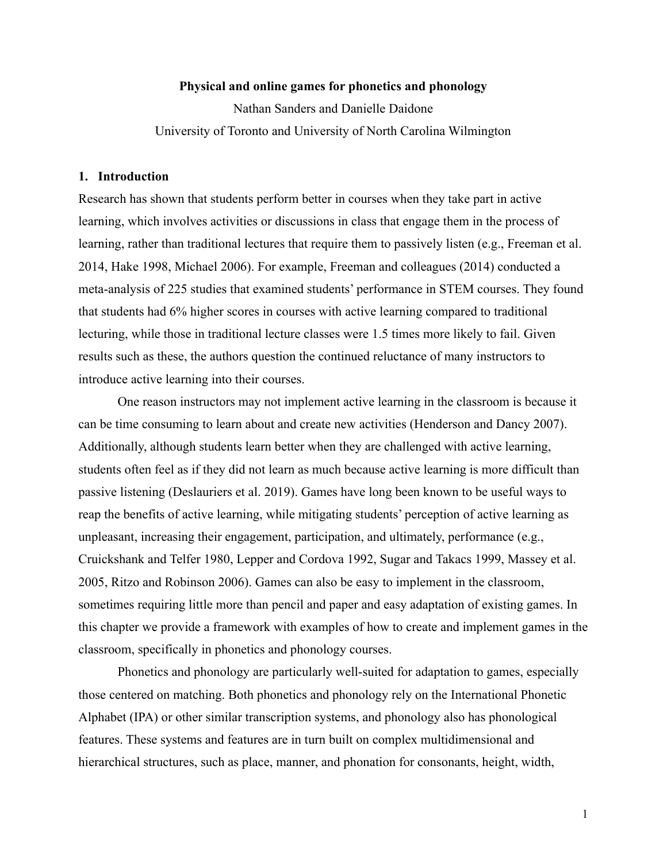## **Physical and online games for phonetics and phonology**

Nathan Sanders and Danielle Daidone University of Toronto and University of North Carolina Wilmington

#### **1. Introduction**

Research has shown that students perform better in courses when they take part in active learning, which involves activities or discussions in class that engage them in the process of learning, rather than traditional lectures that require them to passively listen (e.g., Freeman et al. 2014, Hake 1998, Michael 2006). For example, Freeman and colleagues (2014) conducted a meta-analysis of 225 studies that examined students' performance in STEM courses. They found that students had 6% higher scores in courses with active learning compared to traditional lecturing, while those in traditional lecture classes were 1.5 times more likely to fail. Given results such as these, the authors question the continued reluctance of many instructors to introduce active learning into their courses.

One reason instructors may not implement active learning in the classroom is because it can be time consuming to learn about and create new activities (Henderson and Dancy 2007). Additionally, although students learn better when they are challenged with active learning, students often feel as if they did not learn as much because active learning is more difficult than passive listening (Deslauriers et al. 2019). Games have long been known to be useful ways to reap the benefits of active learning, while mitigating students' perception of active learning as unpleasant, increasing their engagement, participation, and ultimately, performance (e.g., Cruickshank and Telfer 1980, Lepper and Cordova 1992, Sugar and Takacs 1999, Massey et al. 2005, Ritzo and Robinson 2006). Games can also be easy to implement in the classroom, sometimes requiring little more than pencil and paper and easy adaptation of existing games. In this chapter we provide a framework with examples of how to create and implement games in the classroom, specifically in phonetics and phonology courses.

Phonetics and phonology are particularly well-suited for adaptation to games, especially those centered on matching. Both phonetics and phonology rely on the International Phonetic Alphabet (IPA) or other similar transcription systems, and phonology also has phonological features. These systems and features are in turn built on complex multidimensional and hierarchical structures, such as place, manner, and phonation for consonants, height, width,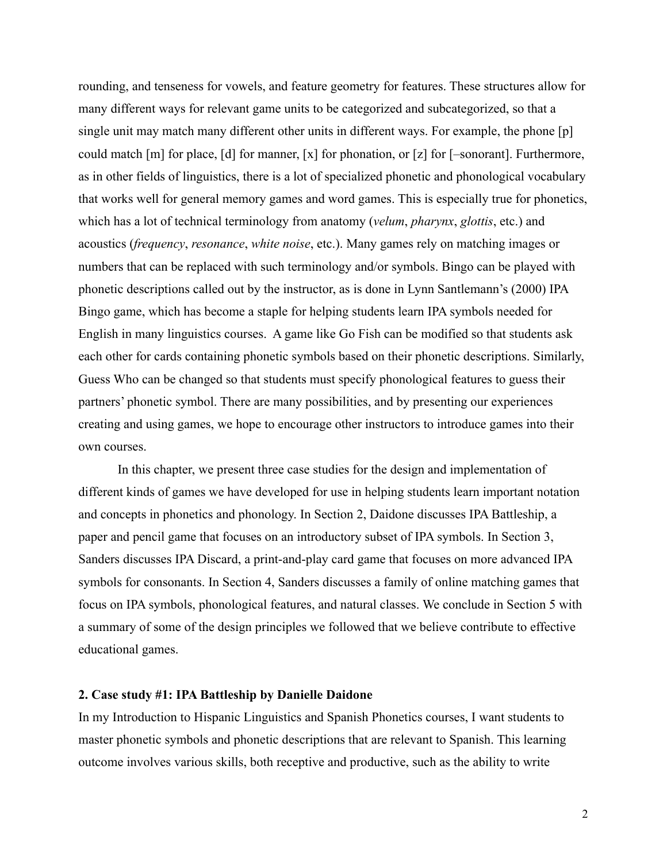rounding, and tenseness for vowels, and feature geometry for features. These structures allow for many different ways for relevant game units to be categorized and subcategorized, so that a single unit may match many different other units in different ways. For example, the phone [p] could match [m] for place, [d] for manner, [x] for phonation, or [z] for [–sonorant]. Furthermore, as in other fields of linguistics, there is a lot of specialized phonetic and phonological vocabulary that works well for general memory games and word games. This is especially true for phonetics, which has a lot of technical terminology from anatomy (*velum*, *pharynx*, *glottis*, etc.) and acoustics (*frequency*, *resonance*, *white noise*, etc.). Many games rely on matching images or numbers that can be replaced with such terminology and/or symbols. Bingo can be played with phonetic descriptions called out by the instructor, as is done in Lynn Santlemann's (2000) IPA Bingo game, which has become a staple for helping students learn IPA symbols needed for English in many linguistics courses. A game like Go Fish can be modified so that students ask each other for cards containing phonetic symbols based on their phonetic descriptions. Similarly, Guess Who can be changed so that students must specify phonological features to guess their partners' phonetic symbol. There are many possibilities, and by presenting our experiences creating and using games, we hope to encourage other instructors to introduce games into their own courses.

In this chapter, we present three case studies for the design and implementation of different kinds of games we have developed for use in helping students learn important notation and concepts in phonetics and phonology. In Section 2, Daidone discusses IPA Battleship, a paper and pencil game that focuses on an introductory subset of IPA symbols. In Section 3, Sanders discusses IPA Discard, a print-and-play card game that focuses on more advanced IPA symbols for consonants. In Section 4, Sanders discusses a family of online matching games that focus on IPA symbols, phonological features, and natural classes. We conclude in Section 5 with a summary of some of the design principles we followed that we believe contribute to effective educational games.

## **2. Case study #1: IPA Battleship by Danielle Daidone**

In my Introduction to Hispanic Linguistics and Spanish Phonetics courses, I want students to master phonetic symbols and phonetic descriptions that are relevant to Spanish. This learning outcome involves various skills, both receptive and productive, such as the ability to write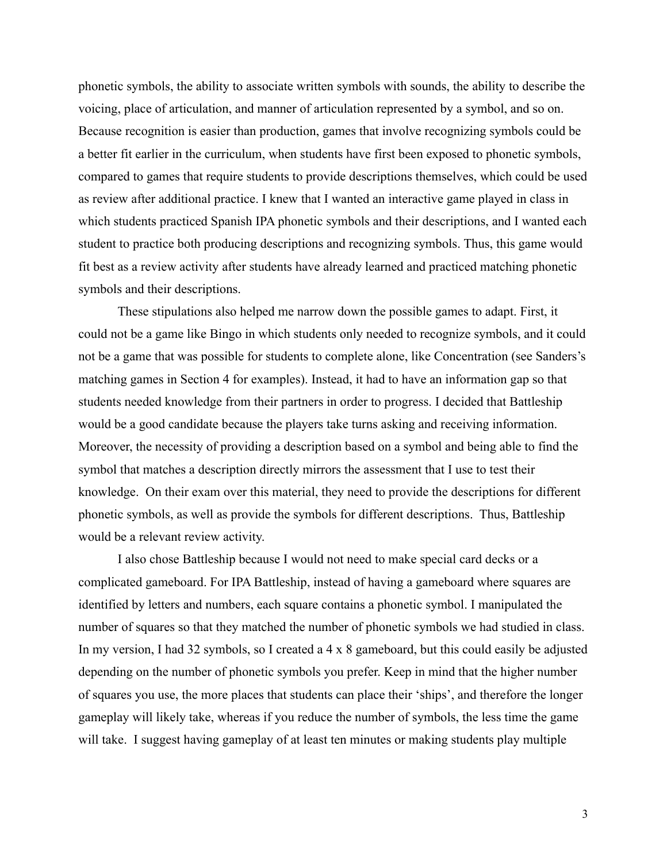phonetic symbols, the ability to associate written symbols with sounds, the ability to describe the voicing, place of articulation, and manner of articulation represented by a symbol, and so on. Because recognition is easier than production, games that involve recognizing symbols could be a better fit earlier in the curriculum, when students have first been exposed to phonetic symbols, compared to games that require students to provide descriptions themselves, which could be used as review after additional practice. I knew that I wanted an interactive game played in class in which students practiced Spanish IPA phonetic symbols and their descriptions, and I wanted each student to practice both producing descriptions and recognizing symbols. Thus, this game would fit best as a review activity after students have already learned and practiced matching phonetic symbols and their descriptions.

These stipulations also helped me narrow down the possible games to adapt. First, it could not be a game like Bingo in which students only needed to recognize symbols, and it could not be a game that was possible for students to complete alone, like Concentration (see Sanders's matching games in Section 4 for examples). Instead, it had to have an information gap so that students needed knowledge from their partners in order to progress. I decided that Battleship would be a good candidate because the players take turns asking and receiving information. Moreover, the necessity of providing a description based on a symbol and being able to find the symbol that matches a description directly mirrors the assessment that I use to test their knowledge. On their exam over this material, they need to provide the descriptions for different phonetic symbols, as well as provide the symbols for different descriptions. Thus, Battleship would be a relevant review activity.

I also chose Battleship because I would not need to make special card decks or a complicated gameboard. For IPA Battleship, instead of having a gameboard where squares are identified by letters and numbers, each square contains a phonetic symbol. I manipulated the number of squares so that they matched the number of phonetic symbols we had studied in class. In my version, I had 32 symbols, so I created a 4 x 8 gameboard, but this could easily be adjusted depending on the number of phonetic symbols you prefer. Keep in mind that the higher number of squares you use, the more places that students can place their 'ships', and therefore the longer gameplay will likely take, whereas if you reduce the number of symbols, the less time the game will take. I suggest having gameplay of at least ten minutes or making students play multiple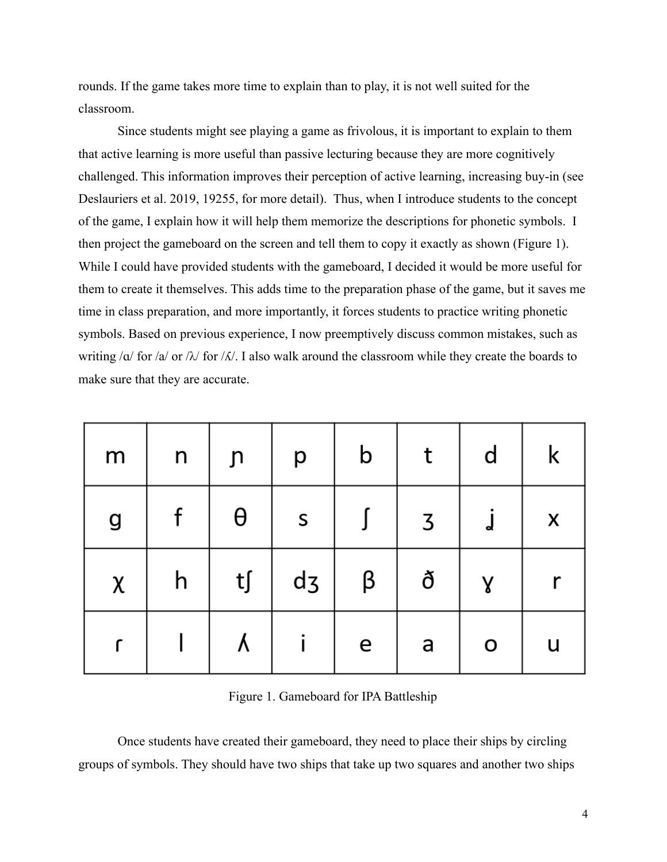rounds. If the game takes more time to explain than to play, it is not well suited for the classroom.

Since students might see playing a game as frivolous, it is important to explain to them that active learning is more useful than passive lecturing because they are more cognitively challenged. This information improves their perception of active learning, increasing buy-in (see Deslauriers et al. 2019, 19255, for more detail). Thus, when I introduce students to the concept of the game, I explain how it will help them memorize the descriptions for phonetic symbols. I then project the gameboard on the screen and tell them to copy it exactly as shown (Figure 1). While I could have provided students with the gameboard, I decided it would be more useful for them to create it themselves. This adds time to the preparation phase of the game, but it saves me time in class preparation, and more importantly, it forces students to practice writing phonetic symbols. Based on previous experience, I now preemptively discuss common mistakes, such as writing / $\alpha$ / for / $\alpha$ / or / $\lambda$ / for / $\alpha$ /. I also walk around the classroom while they create the boards to make sure that they are accurate.

| m            | n | յո                     | р              | $\mathsf b$ | t | d | k |
|--------------|---|------------------------|----------------|-------------|---|---|---|
| g            |   | θ                      | S              |             | 3 | d | X |
| $\pmb{\chi}$ | h | $\mathsf{t}\mathsf{f}$ | d <sub>3</sub> | β           | ð | γ |   |
|              |   | Λ                      |                | e           | a | O | u |

Figure 1. Gameboard for IPA Battleship

Once students have created their gameboard, they need to place their ships by circling groups of symbols. They should have two ships that take up two squares and another two ships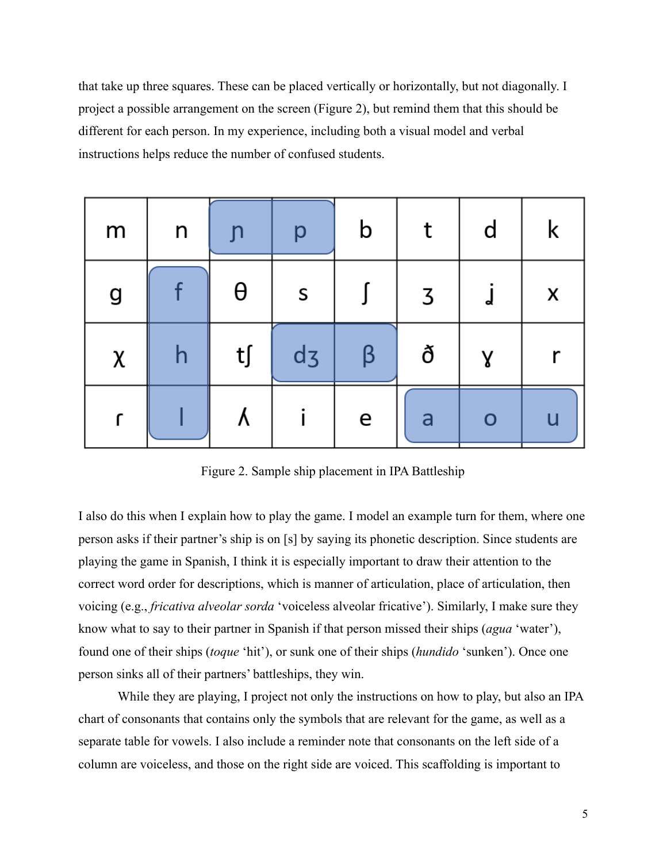that take up three squares. These can be placed vertically or horizontally, but not diagonally. I project a possible arrangement on the screen (Figure 2), but remind them that this should be different for each person. In my experience, including both a visual model and verbal instructions helps reduce the number of confused students.

| m | n | J        | р              | $\mathsf b$ | t | $\mathsf{d}$ | k |
|---|---|----------|----------------|-------------|---|--------------|---|
| g |   | $\theta$ | S              |             | 3 | d            | X |
| χ | h | t∫       | d <sub>3</sub> | ß           | ð | γ            | r |
|   |   | ٨        |                | e           | a | O            | u |

Figure 2. Sample ship placement in IPA Battleship

I also do this when I explain how to play the game. I model an example turn for them, where one person asks if their partner's ship is on [s] by saying its phonetic description. Since students are playing the game in Spanish, I think it is especially important to draw their attention to the correct word order for descriptions, which is manner of articulation, place of articulation, then voicing (e.g., *fricativa alveolar sorda* 'voiceless alveolar fricative'). Similarly, I make sure they know what to say to their partner in Spanish if that person missed their ships (*agua* 'water'), found one of their ships (*toque* 'hit'), or sunk one of their ships (*hundido* 'sunken'). Once one person sinks all of their partners' battleships, they win.

While they are playing, I project not only the instructions on how to play, but also an IPA chart of consonants that contains only the symbols that are relevant for the game, as well as a separate table for vowels. I also include a reminder note that consonants on the left side of a column are voiceless, and those on the right side are voiced. This scaffolding is important to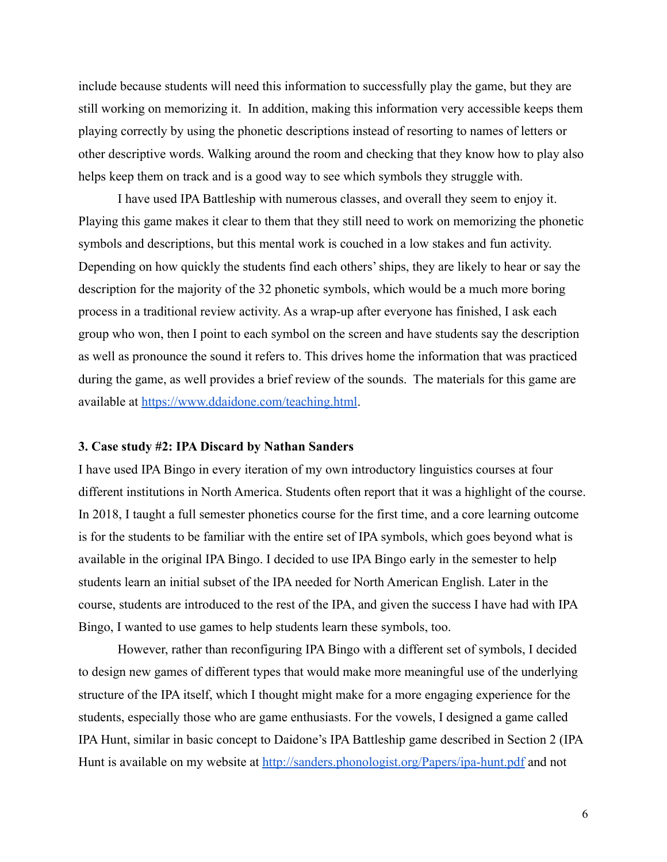include because students will need this information to successfully play the game, but they are still working on memorizing it. In addition, making this information very accessible keeps them playing correctly by using the phonetic descriptions instead of resorting to names of letters or other descriptive words. Walking around the room and checking that they know how to play also helps keep them on track and is a good way to see which symbols they struggle with.

I have used IPA Battleship with numerous classes, and overall they seem to enjoy it. Playing this game makes it clear to them that they still need to work on memorizing the phonetic symbols and descriptions, but this mental work is couched in a low stakes and fun activity. Depending on how quickly the students find each others' ships, they are likely to hear or say the description for the majority of the 32 phonetic symbols, which would be a much more boring process in a traditional review activity. As a wrap-up after everyone has finished, I ask each group who won, then I point to each symbol on the screen and have students say the description as well as pronounce the sound it refers to. This drives home the information that was practiced during the game, as well provides a brief review of the sounds. The materials for this game are available at <https://www.ddaidone.com/teaching.html>.

#### **3. Case study #2: IPA Discard by Nathan Sanders**

I have used IPA Bingo in every iteration of my own introductory linguistics courses at four different institutions in North America. Students often report that it was a highlight of the course. In 2018, I taught a full semester phonetics course for the first time, and a core learning outcome is for the students to be familiar with the entire set of IPA symbols, which goes beyond what is available in the original IPA Bingo. I decided to use IPA Bingo early in the semester to help students learn an initial subset of the IPA needed for North American English. Later in the course, students are introduced to the rest of the IPA, and given the success I have had with IPA Bingo, I wanted to use games to help students learn these symbols, too.

However, rather than reconfiguring IPA Bingo with a different set of symbols, I decided to design new games of different types that would make more meaningful use of the underlying structure of the IPA itself, which I thought might make for a more engaging experience for the students, especially those who are game enthusiasts. For the vowels, I designed a game called IPA Hunt, similar in basic concept to Daidone's IPA Battleship game described in Section 2 (IPA Hunt is available on my website at <http://sanders.phonologist.org/Papers/ipa-hunt.pdf> and not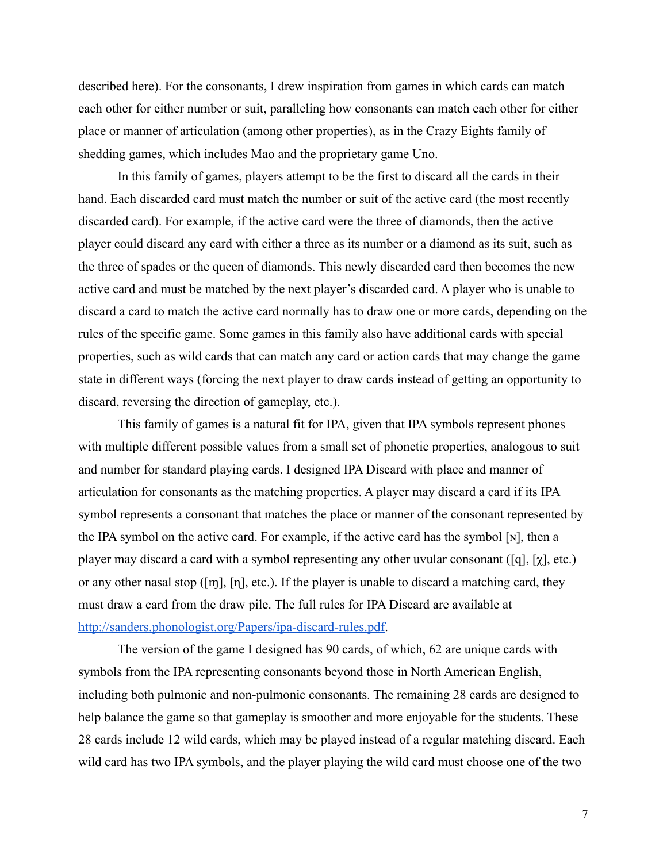described here). For the consonants, I drew inspiration from games in which cards can match each other for either number or suit, paralleling how consonants can match each other for either place or manner of articulation (among other properties), as in the Crazy Eights family of shedding games, which includes Mao and the proprietary game Uno.

In this family of games, players attempt to be the first to discard all the cards in their hand. Each discarded card must match the number or suit of the active card (the most recently discarded card). For example, if the active card were the three of diamonds, then the active player could discard any card with either a three as its number or a diamond as its suit, such as the three of spades or the queen of diamonds. This newly discarded card then becomes the new active card and must be matched by the next player's discarded card. A player who is unable to discard a card to match the active card normally has to draw one or more cards, depending on the rules of the specific game. Some games in this family also have additional cards with special properties, such as wild cards that can match any card or action cards that may change the game state in different ways (forcing the next player to draw cards instead of getting an opportunity to discard, reversing the direction of gameplay, etc.).

This family of games is a natural fit for IPA, given that IPA symbols represent phones with multiple different possible values from a small set of phonetic properties, analogous to suit and number for standard playing cards. I designed IPA Discard with place and manner of articulation for consonants as the matching properties. A player may discard a card if its IPA symbol represents a consonant that matches the place or manner of the consonant represented by the IPA symbol on the active card. For example, if the active card has the symbol [ɴ], then a player may discard a card with a symbol representing any other uvular consonant ([q], [ $\chi$ ], etc.) or any other nasal stop ( $[m]$ ,  $[n]$ , etc.). If the player is unable to discard a matching card, they must draw a card from the draw pile. The full rules for IPA Discard are available at <http://sanders.phonologist.org/Papers/ipa-discard-rules.pdf>.

The version of the game I designed has 90 cards, of which, 62 are unique cards with symbols from the IPA representing consonants beyond those in North American English, including both pulmonic and non-pulmonic consonants. The remaining 28 cards are designed to help balance the game so that gameplay is smoother and more enjoyable for the students. These 28 cards include 12 wild cards, which may be played instead of a regular matching discard. Each wild card has two IPA symbols, and the player playing the wild card must choose one of the two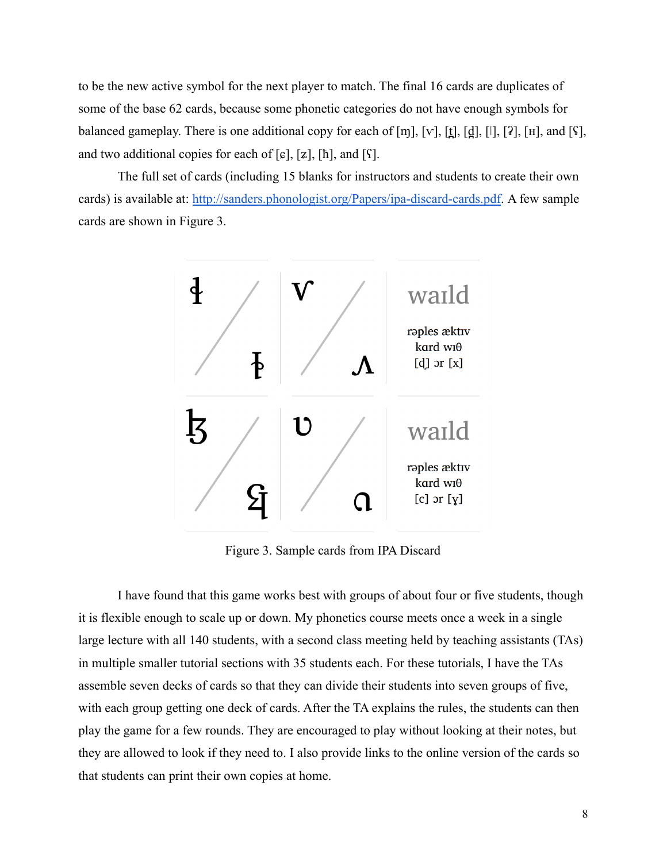to be the new active symbol for the next player to match. The final 16 cards are duplicates of some of the base 62 cards, because some phonetic categories do not have enough symbols for balanced gameplay. There is one additional copy for each of  $[m]$ ,  $[v]$ ,  $[\underline{t}]$ ,  $[\underline{d}]$ ,  $[[]$ ,  $[?]$ ,  $[n]$ , and  $[\hat{Y}]$ , and two additional copies for each of  $[\epsilon]$ ,  $[\epsilon]$ ,  $[\hbar]$ , and  $[\iota]$ .

The full set of cards (including 15 blanks for instructors and students to create their own cards) is available at: <http://sanders.phonologist.org/Papers/ipa-discard-cards.pdf>. A few sample cards are shown in Figure 3.



Figure 3. Sample cards from IPA Discard

I have found that this game works best with groups of about four or five students, though it is flexible enough to scale up or down. My phonetics course meets once a week in a single large lecture with all 140 students, with a second class meeting held by teaching assistants (TAs) in multiple smaller tutorial sections with 35 students each. For these tutorials, I have the TAs assemble seven decks of cards so that they can divide their students into seven groups of five, with each group getting one deck of cards. After the TA explains the rules, the students can then play the game for a few rounds. They are encouraged to play without looking at their notes, but they are allowed to look if they need to. I also provide links to the online version of the cards so that students can print their own copies at home.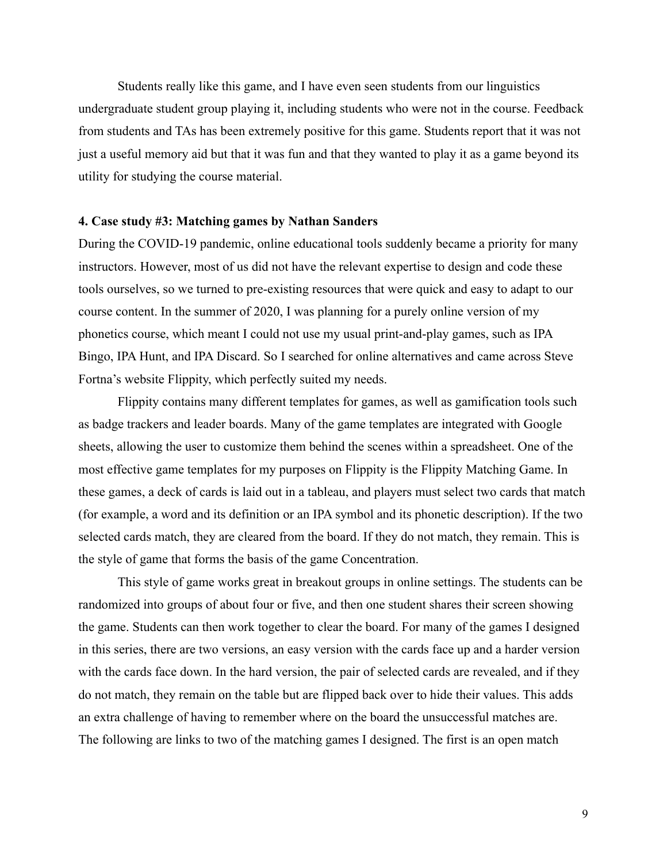Students really like this game, and I have even seen students from our linguistics undergraduate student group playing it, including students who were not in the course. Feedback from students and TAs has been extremely positive for this game. Students report that it was not just a useful memory aid but that it was fun and that they wanted to play it as a game beyond its utility for studying the course material.

#### **4. Case study #3: Matching games by Nathan Sanders**

During the COVID-19 pandemic, online educational tools suddenly became a priority for many instructors. However, most of us did not have the relevant expertise to design and code these tools ourselves, so we turned to pre-existing resources that were quick and easy to adapt to our course content. In the summer of 2020, I was planning for a purely online version of my phonetics course, which meant I could not use my usual print-and-play games, such as IPA Bingo, IPA Hunt, and IPA Discard. So I searched for online alternatives and came across Steve Fortna's website Flippity, which perfectly suited my needs.

Flippity contains many different templates for games, as well as gamification tools such as badge trackers and leader boards. Many of the game templates are integrated with Google sheets, allowing the user to customize them behind the scenes within a spreadsheet. One of the most effective game templates for my purposes on Flippity is the Flippity Matching Game. In these games, a deck of cards is laid out in a tableau, and players must select two cards that match (for example, a word and its definition or an IPA symbol and its phonetic description). If the two selected cards match, they are cleared from the board. If they do not match, they remain. This is the style of game that forms the basis of the game Concentration.

This style of game works great in breakout groups in online settings. The students can be randomized into groups of about four or five, and then one student shares their screen showing the game. Students can then work together to clear the board. For many of the games I designed in this series, there are two versions, an easy version with the cards face up and a harder version with the cards face down. In the hard version, the pair of selected cards are revealed, and if they do not match, they remain on the table but are flipped back over to hide their values. This adds an extra challenge of having to remember where on the board the unsuccessful matches are. The following are links to two of the matching games I designed. The first is an open match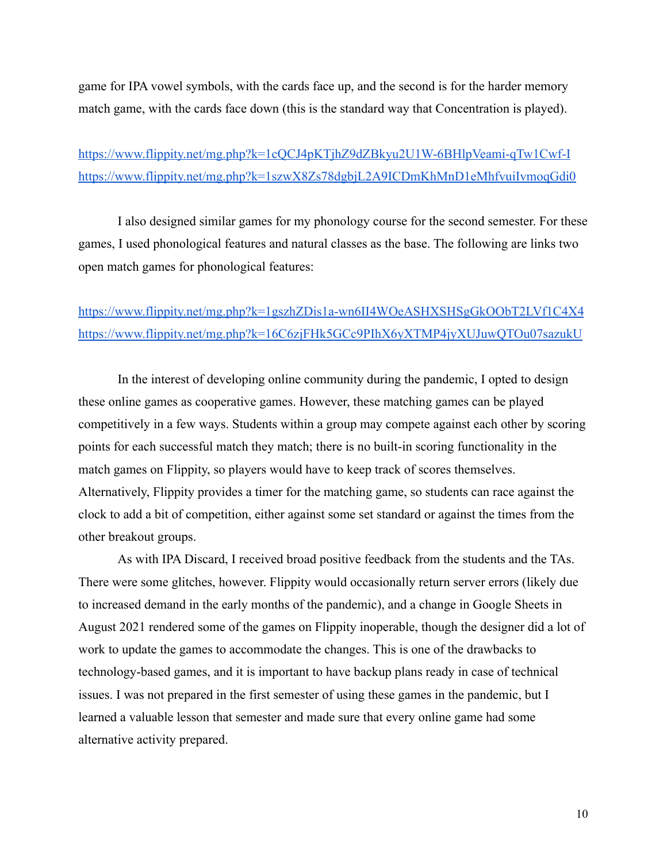game for IPA vowel symbols, with the cards face up, and the second is for the harder memory match game, with the cards face down (this is the standard way that Concentration is played).

<https://www.flippity.net/mg.php?k=1cQCJ4pKTjhZ9dZBkyu2U1W-6BHlpVeami-qTw1Cwf-I> <https://www.flippity.net/mg.php?k=1szwX8Zs78dgbjL2A9ICDmKhMnD1eMhfvuiIvmoqGdi0>

I also designed similar games for my phonology course for the second semester. For these games, I used phonological features and natural classes as the base. The following are links two open match games for phonological features:

# <https://www.flippity.net/mg.php?k=1gszhZDis1a-wn6II4WOeASHXSHSgGkOObT2LVf1C4X4> <https://www.flippity.net/mg.php?k=16C6zjFHk5GCc9PIhX6yXTMP4jyXUJuwQTOu07sazukU>

In the interest of developing online community during the pandemic, I opted to design these online games as cooperative games. However, these matching games can be played competitively in a few ways. Students within a group may compete against each other by scoring points for each successful match they match; there is no built-in scoring functionality in the match games on Flippity, so players would have to keep track of scores themselves. Alternatively, Flippity provides a timer for the matching game, so students can race against the clock to add a bit of competition, either against some set standard or against the times from the other breakout groups.

As with IPA Discard, I received broad positive feedback from the students and the TAs. There were some glitches, however. Flippity would occasionally return server errors (likely due to increased demand in the early months of the pandemic), and a change in Google Sheets in August 2021 rendered some of the games on Flippity inoperable, though the designer did a lot of work to update the games to accommodate the changes. This is one of the drawbacks to technology-based games, and it is important to have backup plans ready in case of technical issues. I was not prepared in the first semester of using these games in the pandemic, but I learned a valuable lesson that semester and made sure that every online game had some alternative activity prepared.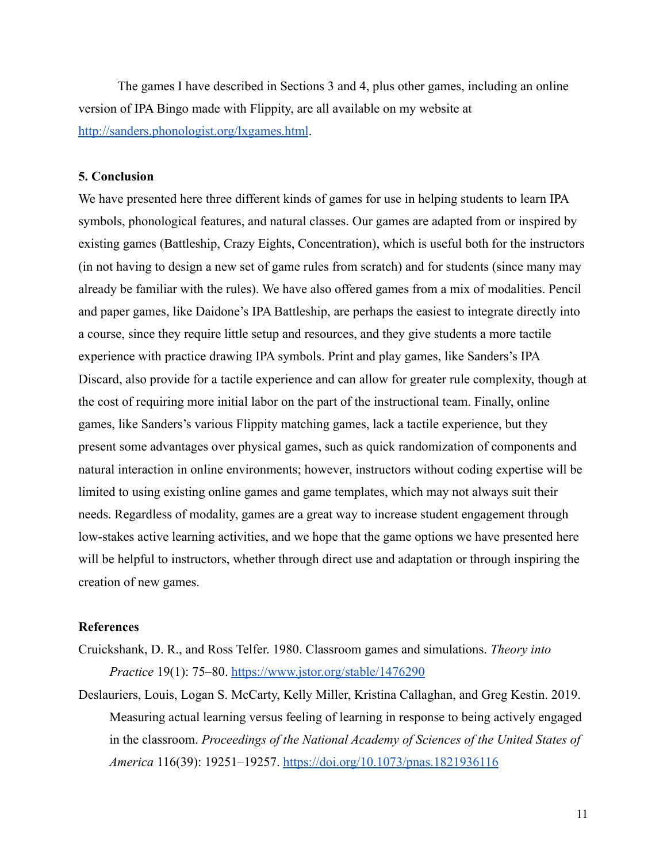The games I have described in Sections 3 and 4, plus other games, including an online version of IPA Bingo made with Flippity, are all available on my website at <http://sanders.phonologist.org/lxgames.html>.

# **5. Conclusion**

We have presented here three different kinds of games for use in helping students to learn IPA symbols, phonological features, and natural classes. Our games are adapted from or inspired by existing games (Battleship, Crazy Eights, Concentration), which is useful both for the instructors (in not having to design a new set of game rules from scratch) and for students (since many may already be familiar with the rules). We have also offered games from a mix of modalities. Pencil and paper games, like Daidone's IPA Battleship, are perhaps the easiest to integrate directly into a course, since they require little setup and resources, and they give students a more tactile experience with practice drawing IPA symbols. Print and play games, like Sanders's IPA Discard, also provide for a tactile experience and can allow for greater rule complexity, though at the cost of requiring more initial labor on the part of the instructional team. Finally, online games, like Sanders's various Flippity matching games, lack a tactile experience, but they present some advantages over physical games, such as quick randomization of components and natural interaction in online environments; however, instructors without coding expertise will be limited to using existing online games and game templates, which may not always suit their needs. Regardless of modality, games are a great way to increase student engagement through low-stakes active learning activities, and we hope that the game options we have presented here will be helpful to instructors, whether through direct use and adaptation or through inspiring the creation of new games.

#### **References**

- Cruickshank, D. R., and Ross Telfer. 1980. Classroom games and simulations. *Theory into Practice* 19(1): 75–80. <https://www.jstor.org/stable/1476290>
- Deslauriers, Louis, Logan S. McCarty, Kelly Miller, Kristina Callaghan, and Greg Kestin. 2019. Measuring actual learning versus feeling of learning in response to being actively engaged in the classroom. *Proceedings of the National Academy of Sciences of the United States of America* 116(39): 19251–19257. <https://doi.org/10.1073/pnas.1821936116>